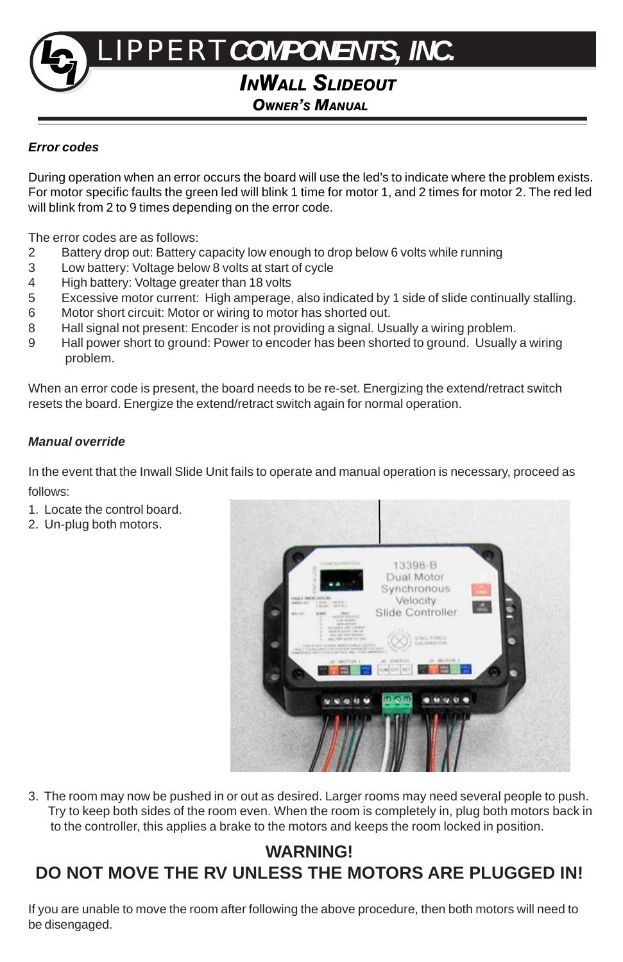# *INWALL SLIDEOUT OWNER'S MANUAL* LIPPERT*COMPONENTS, INC.*

# *Error codes*

During operation when an error occurs the board will use the led's to indicate where the problem exists. For motor specific faults the green led will blink 1 time for motor 1, and 2 times for motor 2. The red led will blink from 2 to 9 times depending on the error code.

The error codes are as follows:

- 2 Battery drop out: Battery capacity low enough to drop below 6 volts while running
- 3 Low battery: Voltage below 8 volts at start of cycle
- 4 High battery: Voltage greater than 18 volts<br>5 Excessive motor current: High amperage.
- Excessive motor current: High amperage, also indicated by 1 side of slide continually stalling.
- 6 Motor short circuit: Motor or wiring to motor has shorted out.
- 8 Hall signal not present: Encoder is not providing a signal. Usually a wiring problem.
- 9 Hall power short to ground: Power to encoder has been shorted to ground. Usually a wiring problem.

When an error code is present, the board needs to be re-set. Energizing the extend/retract switch resets the board. Energize the extend/retract switch again for normal operation.

#### *Manual override*

In the event that the Inwall Slide Unit fails to operate and manual operation is necessary, proceed as follows:

- 1. Locate the control board.
- 2. Un-plug both motors.



3. The room may now be pushed in or out as desired. Larger rooms may need several people to push. Try to keep both sides of the room even. When the room is completely in, plug both motors back in to the controller, this applies a brake to the motors and keeps the room locked in position.

# **WARNING! DO NOT MOVE THE RV UNLESS THE MOTORS ARE PLUGGED IN!**

If you are unable to move the room after following the above procedure, then both motors will need to be disengaged.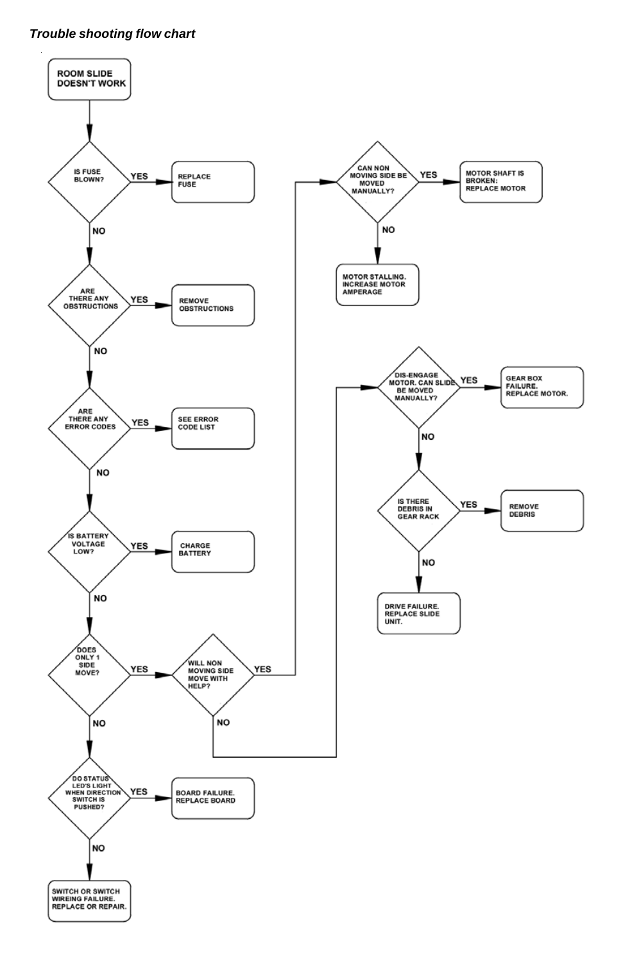# *Trouble shooting flow chart*

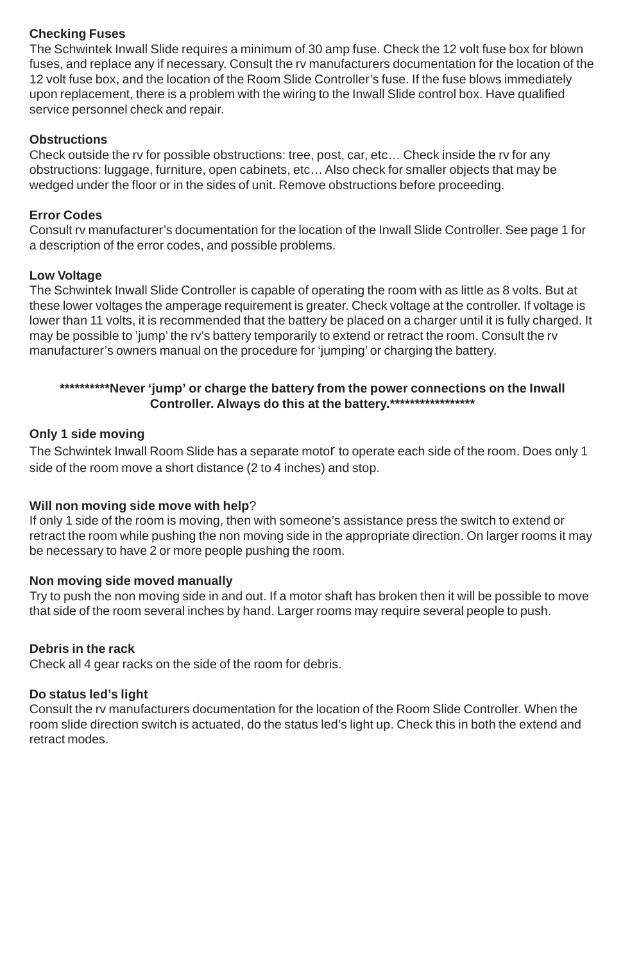# **Checking Fuses**

The Schwintek Inwall Slide requires a minimum of 30 amp fuse. Check the 12 volt fuse box for blown fuses, and replace any if necessary. Consult the rv manufacturers documentation for the location of the 12 volt fuse box, and the location of the Room Slide Controller's fuse. If the fuse blows immediately upon replacement, there is a problem with the wiring to the Inwall Slide control box. Have qualified service personnel check and repair.

#### **Obstructions**

Check outside the rv for possible obstructions: tree, post, car, etc… Check inside the rv for any obstructions: luggage, furniture, open cabinets, etc… Also check for smaller objects that may be wedged under the floor or in the sides of unit. Remove obstructions before proceeding.

# **Error Codes**

Consult rv manufacturer's documentation for the location of the Inwall Slide Controller. See page 1 for a description of the error codes, and possible problems.

#### **Low Voltage**

The Schwintek Inwall Slide Controller is capable of operating the room with as little as 8 volts. But at these lower voltages the amperage requirement is greater. Check voltage at the controller. If voltage is lower than 11 volts, it is recommended that the battery be placed on a charger until it is fully charged. It may be possible to 'jump' the rv's battery temporarily to extend or retract the room. Consult the rv manufacturer's owners manual on the procedure for 'jumping' or charging the battery.

# **\*\*\*\*\*\*\*\*\*\*Never 'jump' or charge the battery from the power connections on the Inwall Controller. Always do this at the battery.\*\*\*\*\*\*\*\*\*\*\*\*\*\*\*\*\***

#### **Only 1 side moving**

The Schwintek Inwall Room Slide has a separate motor to operate each side of the room. Does only 1 side of the room move a short distance (2 to 4 inches) and stop.

#### **Will non moving side move with help**?

If only 1 side of the room is moving, then with someone's assistance press the switch to extend or retract the room while pushing the non moving side in the appropriate direction. On larger rooms it may be necessary to have 2 or more people pushing the room.

#### **Non moving side moved manually**

Try to push the non moving side in and out. If a motor shaft has broken then it will be possible to move that side of the room several inches by hand. Larger rooms may require several people to push.

#### **Debris in the rack**

Check all 4 gear racks on the side of the room for debris.

#### **Do status led's light**

Consult the rv manufacturers documentation for the location of the Room Slide Controller. When the room slide direction switch is actuated, do the status led's light up. Check this in both the extend and retract modes.